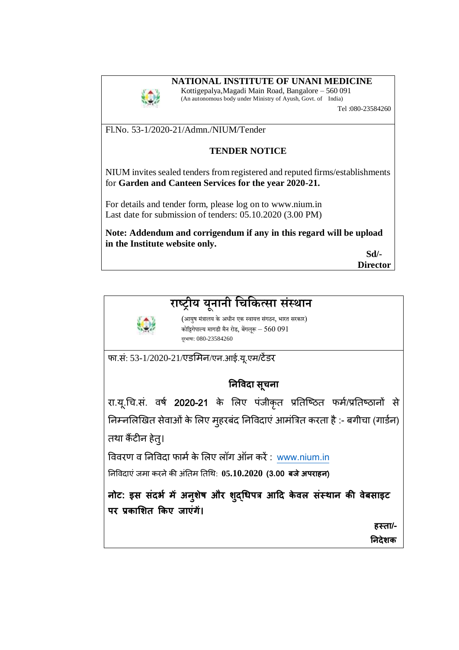## **NATIONAL INSTITUTE OF UNANI MEDICINE**



Kottigepalya,Magadi Main Road, Bangalore – 560 091 (An autonomous body under Ministry of Ayush, Govt. of India)

Tel :080-23584260

Fl.No. 53-1/2020-21/Admn./NIUM/Tender

## **TENDER NOTICE**

NIUM invites sealed tenders from registered and reputed firms/establishments for **Garden and Canteen Services for the year 2020-21.** 

For details and tender form, please log on to www.nium.in Last date for submission of tenders: 05.10.2020 (3.00 PM)

**Note: Addendum and corrigendum if any in this regard will be upload in the Institute website only.** 

 **Sd/- Director** 

## **राष्ट्रीय य ू नानी चिचित्सा संस्थान**



 (आयुष मंत्रालय केअधीन एक स्वायत्त संगठन, भारत सरकार) कोट्टिगेपाल्य मागडी मैन रोड, बेंगलूरू – 560 091 दरूभाषा: 080-23584260

फा.सं: 53-1/2020-21/एडमिन/एन.आई.यू.एम/टेंडर

## **निविदा सूचिा**

रा.यू.चि.सं. वर्ष 2020-21 के लिए पंजीकृत प्रतिष्ठित फर्म/प्रतिष्ठानों से निम्नलिखित सेवाओं के लिए मुहरबंद निविदाएं आमंत्रित करता है :- बगीचा (गार्डन) तथा कैंटीन हेतु।

विवरण व निविदा फार्म के लिए लॉग ऑन करें: [www.nium.in](http://www.nium.in/)

तनववदाएंजिा करनेकी अंतति ततचथ: **05.10.2020 (3.00 बजे अपराहि**)

**िोट: इस संदर्भ मेंअिुशेष और शद्ुधिपत्र आदद केिल संस्थाि की िेबसाइट पर प्रकाशशत ककए जाएंगें।** 

**हस्ता/-**

 **निदेशक**